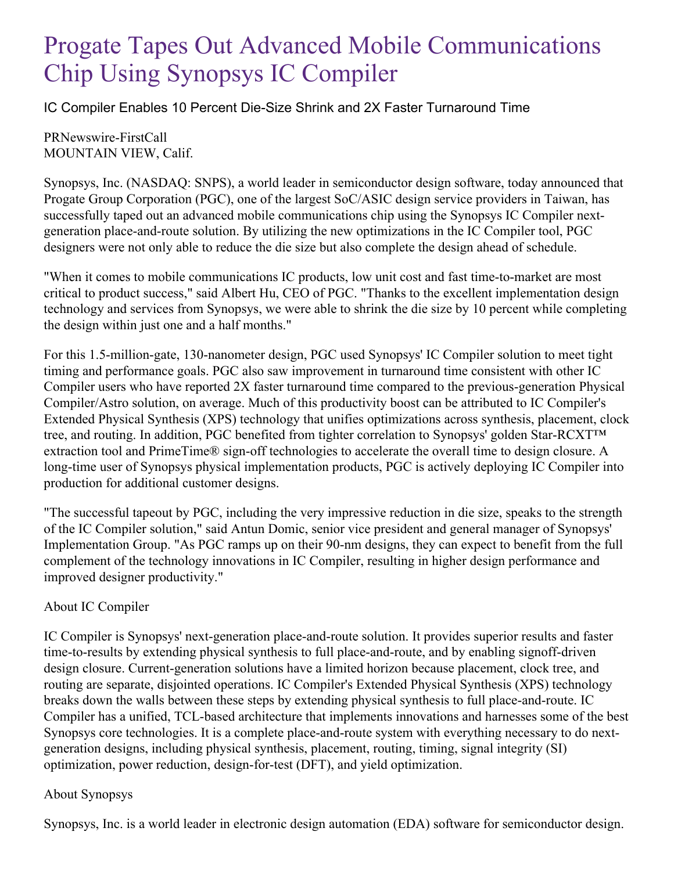## Progate Tapes Out Advanced Mobile Communications Chip Using Synopsys IC Compiler

IC Compiler Enables 10 Percent Die-Size Shrink and 2X Faster Turnaround Time

PRNewswire-FirstCall MOUNTAIN VIEW, Calif.

Synopsys, Inc. (NASDAQ: SNPS), a world leader in semiconductor design software, today announced that Progate Group Corporation (PGC), one of the largest SoC/ASIC design service providers in Taiwan, has successfully taped out an advanced mobile communications chip using the Synopsys IC Compiler nextgeneration place-and-route solution. By utilizing the new optimizations in the IC Compiler tool, PGC designers were not only able to reduce the die size but also complete the design ahead of schedule.

"When it comes to mobile communications IC products, low unit cost and fast time-to-market are most critical to product success," said Albert Hu, CEO of PGC. "Thanks to the excellent implementation design technology and services from Synopsys, we were able to shrink the die size by 10 percent while completing the design within just one and a half months."

For this 1.5-million-gate, 130-nanometer design, PGC used Synopsys' IC Compiler solution to meet tight timing and performance goals. PGC also saw improvement in turnaround time consistent with other IC Compiler users who have reported 2X faster turnaround time compared to the previous-generation Physical Compiler/Astro solution, on average. Much of this productivity boost can be attributed to IC Compiler's Extended Physical Synthesis (XPS) technology that unifies optimizations across synthesis, placement, clock tree, and routing. In addition, PGC benefited from tighter correlation to Synopsys' golden Star-RCXT™ extraction tool and PrimeTime® sign-off technologies to accelerate the overall time to design closure. A long-time user of Synopsys physical implementation products, PGC is actively deploying IC Compiler into production for additional customer designs.

"The successful tapeout by PGC, including the very impressive reduction in die size, speaks to the strength of the IC Compiler solution," said Antun Domic, senior vice president and general manager of Synopsys' Implementation Group. "As PGC ramps up on their 90-nm designs, they can expect to benefit from the full complement of the technology innovations in IC Compiler, resulting in higher design performance and improved designer productivity."

## About IC Compiler

IC Compiler is Synopsys' next-generation place-and-route solution. It provides superior results and faster time-to-results by extending physical synthesis to full place-and-route, and by enabling signoff-driven design closure. Current-generation solutions have a limited horizon because placement, clock tree, and routing are separate, disjointed operations. IC Compiler's Extended Physical Synthesis (XPS) technology breaks down the walls between these steps by extending physical synthesis to full place-and-route. IC Compiler has a unified, TCL-based architecture that implements innovations and harnesses some of the best Synopsys core technologies. It is a complete place-and-route system with everything necessary to do nextgeneration designs, including physical synthesis, placement, routing, timing, signal integrity (SI) optimization, power reduction, design-for-test (DFT), and yield optimization.

## About Synopsys

Synopsys, Inc. is a world leader in electronic design automation (EDA) software for semiconductor design.